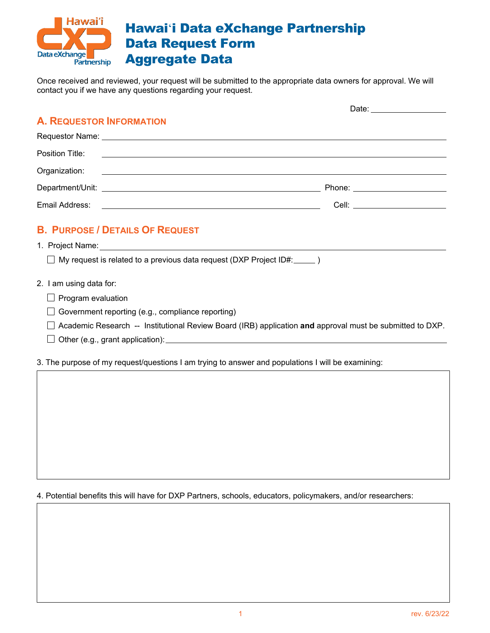

Once received and reviewed, your request will be submitted to the appropriate data owners for approval. We will contact you if we have any questions regarding your request.

|                                                                                  | Date: _________________          |
|----------------------------------------------------------------------------------|----------------------------------|
| <b>A. REQUESTOR INFORMATION</b>                                                  |                                  |
|                                                                                  |                                  |
|                                                                                  |                                  |
|                                                                                  |                                  |
|                                                                                  | Phone: _________________________ |
|                                                                                  |                                  |
| <b>B. PURPOSE / DETAILS OF REQUEST</b>                                           |                                  |
|                                                                                  |                                  |
| $\Box$ My request is related to a previous data request (DXP Project ID#: _____) |                                  |
| 2. I am using data for:                                                          |                                  |
| $\Box$ Program evaluation                                                        |                                  |
| $\Box$ Government reporting (e.g., compliance reporting)                         |                                  |
|                                                                                  |                                  |

- Academic Research -- Institutional Review Board (IRB) application **and** approval must be submitted to DXP.
- $\Box$  Other (e.g., grant application):

3. The purpose of my request/questions I am trying to answer and populations I will be examining:

4. Potential benefits this will have for DXP Partners, schools, educators, policymakers, and/or researchers: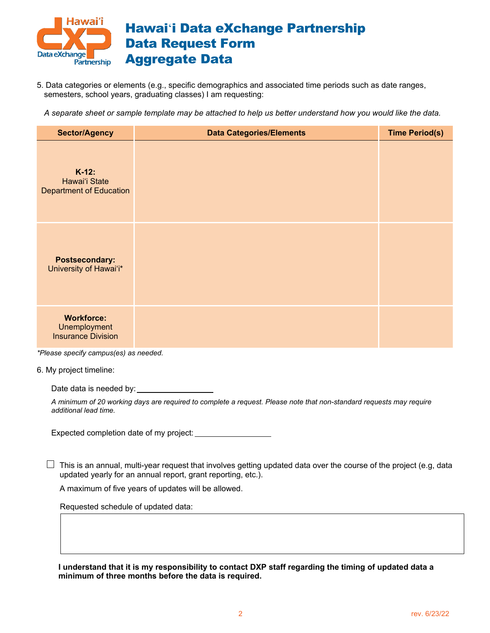

5. Data categories or elements (e.g., specific demographics and associated time periods such as date ranges, semesters, school years, graduating classes) I am requesting:

*A separate sheet or sample template may be attached to help us better understand how you would like the data.*

| <b>Sector/Agency</b>                                           | <b>Data Categories/Elements</b> | <b>Time Period(s)</b> |
|----------------------------------------------------------------|---------------------------------|-----------------------|
| $K-12$ :<br>Hawai'i State<br><b>Department of Education</b>    |                                 |                       |
| <b>Postsecondary:</b><br>University of Hawai'i*                |                                 |                       |
| <b>Workforce:</b><br>Unemployment<br><b>Insurance Division</b> |                                 |                       |

*\*Please specify campus(es) as needed.*

6. My project timeline:

Date data is needed by:

*A minimum of 20 working days are required to complete a request. Please note that non-standard requests may require additional lead time.* 

Expected completion date of my project:

 $\Box$  This is an annual, multi-year request that involves getting updated data over the course of the project (e.g, data updated yearly for an annual report, grant reporting, etc.).

A maximum of five years of updates will be allowed.

Requested schedule of updated data:

**I understand that it is my responsibility to contact DXP staff regarding the timing of updated data a minimum of three months before the data is required.**